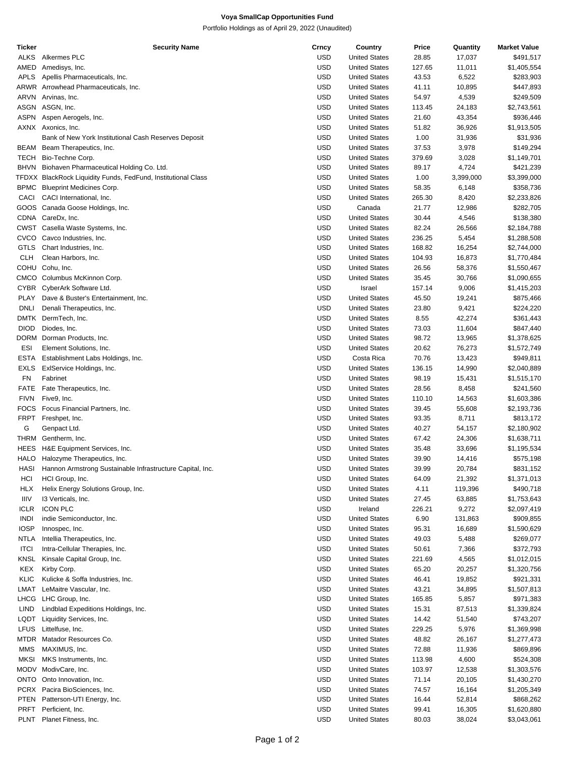## **Voya SmallCap Opportunities Fund**

Portfolio Holdings as of April 29, 2022 (Unaudited)

| Ticker      | <b>Security Name</b>                                          | Crncy      | Country              | Price  | Quantity  | <b>Market Value</b> |
|-------------|---------------------------------------------------------------|------------|----------------------|--------|-----------|---------------------|
| <b>ALKS</b> | Alkermes PLC                                                  | USD        | <b>United States</b> | 28.85  | 17,037    | \$491,517           |
| AMED        | Amedisys, Inc.                                                | USD        | <b>United States</b> | 127.65 | 11,011    | \$1,405,554         |
| APLS        | Apellis Pharmaceuticals, Inc.                                 | USD        | <b>United States</b> | 43.53  | 6,522     | \$283,903           |
|             | ARWR Arrowhead Pharmaceuticals, Inc.                          | USD        | <b>United States</b> | 41.11  | 10,895    | \$447,893           |
|             |                                                               |            |                      |        |           |                     |
| ARVN        | Arvinas, Inc.                                                 | USD        | <b>United States</b> | 54.97  | 4,539     | \$249,509           |
|             | ASGN ASGN, Inc.                                               | USD        | <b>United States</b> | 113.45 | 24,183    | \$2,743,561         |
| ASPN        | Aspen Aerogels, Inc.                                          | <b>USD</b> | <b>United States</b> | 21.60  | 43,354    | \$936,446           |
|             | AXNX Axonics, Inc.                                            | <b>USD</b> | <b>United States</b> | 51.82  | 36,926    | \$1,913,505         |
|             | Bank of New York Institutional Cash Reserves Deposit          | USD        | <b>United States</b> | 1.00   | 31,936    | \$31,936            |
|             | BEAM Beam Therapeutics, Inc.                                  | USD        | <b>United States</b> | 37.53  | 3,978     | \$149,294           |
| TECH        | Bio-Techne Corp.                                              | USD        | <b>United States</b> | 379.69 | 3,028     | \$1,149,701         |
| BHVN        |                                                               | <b>USD</b> | <b>United States</b> | 89.17  | 4,724     | \$421,239           |
|             | Biohaven Pharmaceutical Holding Co. Ltd.                      |            |                      |        |           |                     |
|             | TFDXX BlackRock Liquidity Funds, FedFund, Institutional Class | USD        | <b>United States</b> | 1.00   | 3,399,000 | \$3,399,000         |
|             | BPMC Blueprint Medicines Corp.                                | USD        | <b>United States</b> | 58.35  | 6,148     | \$358,736           |
| CACI        | CACI International, Inc.                                      | <b>USD</b> | <b>United States</b> | 265.30 | 8,420     | \$2,233,826         |
|             | GOOS Canada Goose Holdings, Inc.                              | <b>USD</b> | Canada               | 21.77  | 12,986    | \$282,705           |
|             | CDNA CareDx, Inc.                                             | USD        | <b>United States</b> | 30.44  | 4,546     | \$138,380           |
|             | CWST Casella Waste Systems, Inc.                              | USD        | <b>United States</b> | 82.24  | 26,566    | \$2,184,788         |
|             |                                                               |            |                      |        |           |                     |
| CVCO        | Cavco Industries, Inc.                                        | USD        | <b>United States</b> | 236.25 | 5,454     | \$1,288,508         |
| <b>GTLS</b> | Chart Industries, Inc.                                        | <b>USD</b> | <b>United States</b> | 168.82 | 16,254    | \$2,744,000         |
| <b>CLH</b>  | Clean Harbors, Inc.                                           | USD        | <b>United States</b> | 104.93 | 16,873    | \$1,770,484         |
| COHU        | Cohu, Inc.                                                    | USD        | <b>United States</b> | 26.56  | 58,376    | \$1,550,467         |
|             | CMCO Columbus McKinnon Corp.                                  | <b>USD</b> | <b>United States</b> | 35.45  | 30,766    | \$1,090,655         |
| <b>CYBR</b> | CyberArk Software Ltd.                                        | <b>USD</b> | Israel               | 157.14 | 9,006     | \$1,415,203         |
| PLAY        | Dave & Buster's Entertainment, Inc.                           | USD        | <b>United States</b> | 45.50  | 19,241    | \$875,466           |
|             |                                                               |            |                      |        |           |                     |
| <b>DNLI</b> | Denali Therapeutics, Inc.                                     | USD        | <b>United States</b> | 23.80  | 9,421     | \$224,220           |
| DMTK        | DermTech, Inc.                                                | USD        | <b>United States</b> | 8.55   | 42,274    | \$361,443           |
| <b>DIOD</b> | Diodes, Inc.                                                  | <b>USD</b> | <b>United States</b> | 73.03  | 11,604    | \$847,440           |
| DORM        | Dorman Products, Inc.                                         | USD        | <b>United States</b> | 98.72  | 13,965    | \$1,378,625         |
| <b>ESI</b>  | Element Solutions, Inc.                                       | USD        | <b>United States</b> | 20.62  | 76,273    | \$1,572,749         |
| <b>ESTA</b> | Establishment Labs Holdings, Inc.                             | <b>USD</b> | Costa Rica           | 70.76  | 13,423    | \$949,811           |
| <b>EXLS</b> | ExIService Holdings, Inc.                                     | <b>USD</b> | <b>United States</b> | 136.15 | 14,990    | \$2,040,889         |
|             |                                                               |            |                      |        |           |                     |
| FN          | Fabrinet                                                      | USD        | <b>United States</b> | 98.19  | 15,431    | \$1,515,170         |
| <b>FATE</b> | Fate Therapeutics, Inc.                                       | USD        | <b>United States</b> | 28.56  | 8,458     | \$241,560           |
| <b>FIVN</b> | Five9, Inc.                                                   | USD        | <b>United States</b> | 110.10 | 14,563    | \$1,603,386         |
| <b>FOCS</b> | Focus Financial Partners, Inc.                                | <b>USD</b> | <b>United States</b> | 39.45  | 55,608    | \$2,193,736         |
| <b>FRPT</b> | Freshpet, Inc.                                                | USD        | <b>United States</b> | 93.35  | 8,711     | \$813,172           |
| G           | Genpact Ltd.                                                  | USD        | <b>United States</b> | 40.27  | 54,157    | \$2,180,902         |
| THRM        | Gentherm, Inc.                                                | USD        | <b>United States</b> | 67.42  | 24,306    | \$1,638,711         |
|             | H&E Equipment Services, Inc.                                  |            |                      |        |           |                     |
| HEES        |                                                               | USD        | <b>United States</b> | 35.48  | 33,696    | \$1,195,534         |
| <b>HALO</b> | Halozyme Therapeutics, Inc.                                   | USD        | <b>United States</b> | 39.90  | 14,416    | \$575,198           |
| HASI        | Hannon Armstrong Sustainable Infrastructure Capital, Inc.     | <b>USD</b> | <b>United States</b> | 39.99  | 20,784    | \$831,152           |
| HCI         | HCI Group, Inc.                                               | USD        | <b>United States</b> | 64.09  | 21,392    | \$1,371,013         |
| <b>HLX</b>  | Helix Energy Solutions Group, Inc.                            | <b>USD</b> | <b>United States</b> | 4.11   | 119,396   | \$490,718           |
| IIIV        | 13 Verticals, Inc.                                            | USD        | <b>United States</b> | 27.45  | 63,885    | \$1,753,643         |
| <b>ICLR</b> | <b>ICON PLC</b>                                               | USD        | Ireland              | 226.21 | 9,272     | \$2,097,419         |
| <b>INDI</b> | indie Semiconductor, Inc.                                     | USD        | <b>United States</b> | 6.90   | 131,863   | \$909,855           |
|             |                                                               |            |                      |        |           |                     |
| <b>IOSP</b> | Innospec, Inc.                                                | USD        | <b>United States</b> | 95.31  | 16,689    | \$1,590,629         |
| <b>NTLA</b> | Intellia Therapeutics, Inc.                                   | USD        | <b>United States</b> | 49.03  | 5,488     | \$269,077           |
| <b>ITCI</b> | Intra-Cellular Therapies, Inc.                                | USD        | <b>United States</b> | 50.61  | 7,366     | \$372,793           |
| KNSL        | Kinsale Capital Group, Inc.                                   | USD        | <b>United States</b> | 221.69 | 4,565     | \$1,012,015         |
| KEX         | Kirby Corp.                                                   | USD        | <b>United States</b> | 65.20  | 20,257    | \$1,320,756         |
| KLIC        | Kulicke & Soffa Industries, Inc.                              | USD        | <b>United States</b> | 46.41  | 19,852    | \$921,331           |
| LMAT        | LeMaitre Vascular, Inc.                                       | USD        | <b>United States</b> | 43.21  | 34,895    | \$1,507,813         |
|             |                                                               |            |                      |        |           |                     |
| LHCG        | LHC Group, Inc.                                               | USD        | <b>United States</b> | 165.85 | 5,857     | \$971,383           |
| LIND        | Lindblad Expeditions Holdings, Inc.                           | USD        | <b>United States</b> | 15.31  | 87,513    | \$1,339,824         |
| LQDT        | Liquidity Services, Inc.                                      | USD        | <b>United States</b> | 14.42  | 51,540    | \$743,207           |
| <b>LFUS</b> | Littelfuse, Inc.                                              | USD        | <b>United States</b> | 229.25 | 5,976     | \$1,369,998         |
| MTDR        | Matador Resources Co.                                         | USD        | <b>United States</b> | 48.82  | 26,167    | \$1,277,473         |
| MMS         | MAXIMUS, Inc.                                                 | <b>USD</b> | <b>United States</b> | 72.88  | 11,936    | \$869,896           |
| <b>MKSI</b> | MKS Instruments, Inc.                                         | USD        | <b>United States</b> | 113.98 | 4,600     | \$524,308           |
|             |                                                               |            |                      |        |           |                     |
|             | MODV ModivCare, Inc.                                          | USD        | <b>United States</b> | 103.97 | 12,538    | \$1,303,576         |
| ONTO        | Onto Innovation, Inc.                                         | USD        | <b>United States</b> | 71.14  | 20,105    | \$1,430,270         |
|             | PCRX Pacira BioSciences, Inc.                                 | USD        | <b>United States</b> | 74.57  | 16,164    | \$1,205,349         |
| PTEN        | Patterson-UTI Energy, Inc.                                    | USD        | <b>United States</b> | 16.44  | 52,814    | \$868,262           |
| PRFT        | Perficient, Inc.                                              | <b>USD</b> | <b>United States</b> | 99.41  | 16,305    | \$1,620,880         |
| PLNT        | Planet Fitness, Inc.                                          | <b>USD</b> | <b>United States</b> | 80.03  | 38,024    | \$3,043,061         |
|             |                                                               |            |                      |        |           |                     |